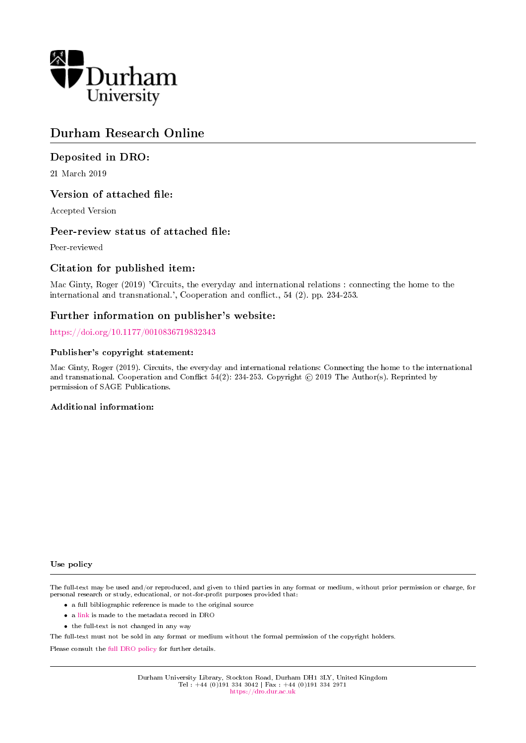

# Durham Research Online

# Deposited in DRO:

21 March 2019

# Version of attached file:

Accepted Version

# Peer-review status of attached file:

Peer-reviewed

# Citation for published item:

Mac Ginty, Roger (2019) 'Circuits, the everyday and international relations : connecting the home to the international and transnational.', Cooperation and conflict., 54 (2). pp. 234-253.

# Further information on publisher's website:

<https://doi.org/10.1177/0010836719832343>

#### Publisher's copyright statement:

Mac Ginty, Roger (2019). Circuits, the everyday and international relations: Connecting the home to the international and transnational. Cooperation and Conflict  $54(2)$ : 234-253. Copyright  $\odot$  2019 The Author(s). Reprinted by permission of SAGE Publications.

### Additional information:

#### Use policy

The full-text may be used and/or reproduced, and given to third parties in any format or medium, without prior permission or charge, for personal research or study, educational, or not-for-profit purposes provided that:

- a full bibliographic reference is made to the original source
- a [link](http://dro.dur.ac.uk/27740/) is made to the metadata record in DRO
- the full-text is not changed in any way

The full-text must not be sold in any format or medium without the formal permission of the copyright holders.

Please consult the [full DRO policy](https://dro.dur.ac.uk/policies/usepolicy.pdf) for further details.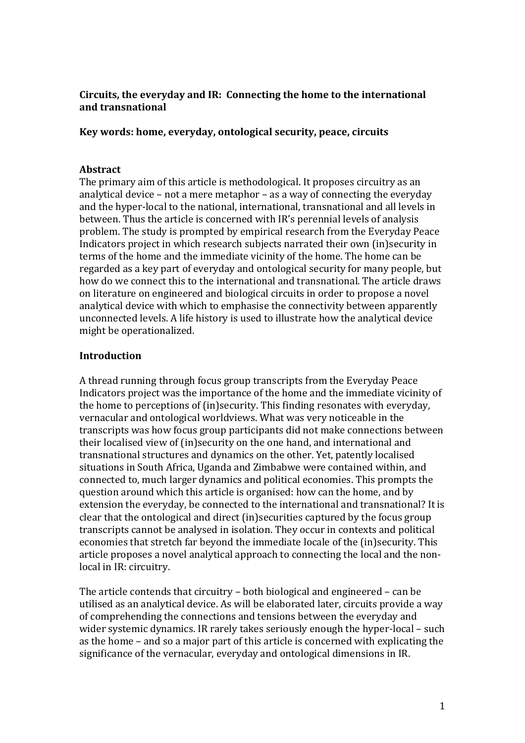# **Circuits, the everyday and IR: Connecting the home to the international and transnational**

**Key words: home, everyday, ontological security, peace, circuits**

# **Abstract**

The primary aim of this article is methodological. It proposes circuitry as an analytical device – not a mere metaphor – as a way of connecting the everyday and the hyper-local to the national, international, transnational and all levels in between. Thus the article is concerned with IR's perennial levels of analysis problem. The study is prompted by empirical research from the Everyday Peace Indicators project in which research subjects narrated their own (in)security in terms of the home and the immediate vicinity of the home. The home can be regarded as a key part of everyday and ontological security for many people, but how do we connect this to the international and transnational. The article draws on literature on engineered and biological circuits in order to propose a novel analytical device with which to emphasise the connectivity between apparently unconnected levels. A life history is used to illustrate how the analytical device might be operationalized.

# **Introduction**

A thread running through focus group transcripts from the Everyday Peace Indicators project was the importance of the home and the immediate vicinity of the home to perceptions of (in)security. This finding resonates with everyday, vernacular and ontological worldviews. What was very noticeable in the transcripts was how focus group participants did not make connections between their localised view of (in)security on the one hand, and international and transnational structures and dynamics on the other. Yet, patently localised situations in South Africa, Uganda and Zimbabwe were contained within, and connected to, much larger dynamics and political economies. This prompts the question around which this article is organised: how can the home, and by extension the everyday, be connected to the international and transnational? It is clear that the ontological and direct (in)securities captured by the focus group transcripts cannot be analysed in isolation. They occur in contexts and political economies that stretch far beyond the immediate locale of the (in)security. This article proposes a novel analytical approach to connecting the local and the nonlocal in IR: circuitry.

The article contends that circuitry – both biological and engineered – can be utilised as an analytical device. As will be elaborated later, circuits provide a way of comprehending the connections and tensions between the everyday and wider systemic dynamics. IR rarely takes seriously enough the hyper-local – such as the home – and so a major part of this article is concerned with explicating the significance of the vernacular, everyday and ontological dimensions in IR.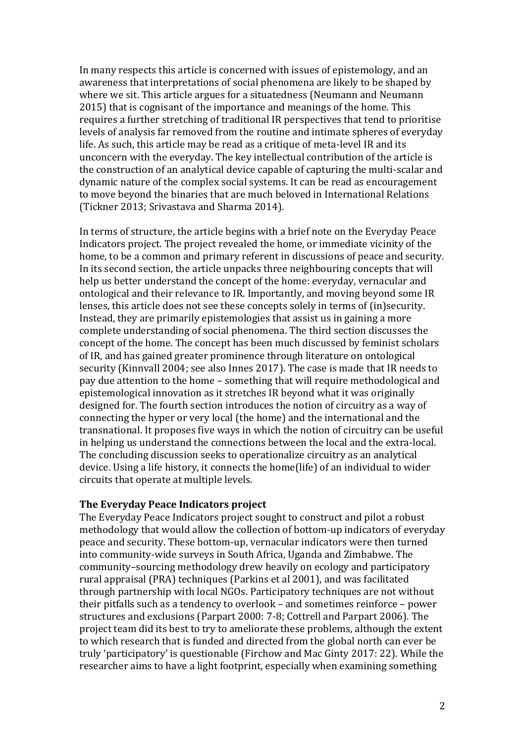In many respects this article is concerned with issues of epistemology, and an awareness that interpretations of social phenomena are likely to be shaped by where we sit. This article argues for a situatedness (Neumann and Neumann 2015) that is cognisant of the importance and meanings of the home. This requires a further stretching of traditional IR perspectives that tend to prioritise levels of analysis far removed from the routine and intimate spheres of everyday life. As such, this article may be read as a critique of meta-level IR and its unconcern with the everyday. The key intellectual contribution of the article is the construction of an analytical device capable of capturing the multi-scalar and dynamic nature of the complex social systems. It can be read as encouragement to move beyond the binaries that are much beloved in International Relations (Tickner 2013; Srivastava and Sharma 2014).

In terms of structure, the article begins with a brief note on the Everyday Peace Indicators project. The project revealed the home, or immediate vicinity of the home, to be a common and primary referent in discussions of peace and security. In its second section, the article unpacks three neighbouring concepts that will help us better understand the concept of the home: everyday, vernacular and ontological and their relevance to IR. Importantly, and moving beyond some IR lenses, this article does not see these concepts solely in terms of (in)security. Instead, they are primarily epistemologies that assist us in gaining a more complete understanding of social phenomena. The third section discusses the concept of the home. The concept has been much discussed by feminist scholars of IR, and has gained greater prominence through literature on ontological security (Kinnvall 2004; see also Innes 2017). The case is made that IR needs to pay due attention to the home – something that will require methodological and epistemological innovation as it stretches IR beyond what it was originally designed for. The fourth section introduces the notion of circuitry as a way of connecting the hyper or very local (the home) and the international and the transnational. It proposes five ways in which the notion of circuitry can be useful in helping us understand the connections between the local and the extra-local. The concluding discussion seeks to operationalize circuitry as an analytical device. Using a life history, it connects the home(life) of an individual to wider circuits that operate at multiple levels.

# **The Everyday Peace Indicators project**

The Everyday Peace Indicators project sought to construct and pilot a robust methodology that would allow the collection of bottom-up indicators of everyday peace and security. These bottom-up, vernacular indicators were then turned into community-wide surveys in South Africa, Uganda and Zimbabwe. The community–sourcing methodology drew heavily on ecology and participatory rural appraisal (PRA) techniques (Parkins et al 2001), and was facilitated through partnership with local NGOs. Participatory techniques are not without their pitfalls such as a tendency to overlook – and sometimes reinforce – power structures and exclusions (Parpart 2000: 7-8; Cottrell and Parpart 2006). The project team did its best to try to ameliorate these problems, although the extent to which research that is funded and directed from the global north can ever be truly 'participatory' is questionable (Firchow and Mac Ginty 2017: 22). While the researcher aims to have a light footprint, especially when examining something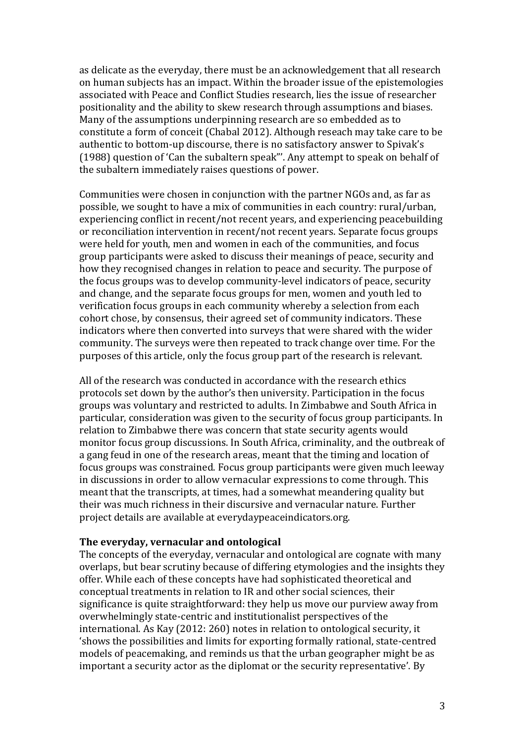as delicate as the everyday, there must be an acknowledgement that all research on human subjects has an impact. Within the broader issue of the epistemologies associated with Peace and Conflict Studies research, lies the issue of researcher positionality and the ability to skew research through assumptions and biases. Many of the assumptions underpinning research are so embedded as to constitute a form of conceit (Chabal 2012). Although reseach may take care to be authentic to bottom-up discourse, there is no satisfactory answer to Spivak's (1988) question of 'Can the subaltern speak"'. Any attempt to speak on behalf of the subaltern immediately raises questions of power.

Communities were chosen in conjunction with the partner NGOs and, as far as possible, we sought to have a mix of communities in each country: rural/urban, experiencing conflict in recent/not recent years, and experiencing peacebuilding or reconciliation intervention in recent/not recent years. Separate focus groups were held for youth, men and women in each of the communities, and focus group participants were asked to discuss their meanings of peace, security and how they recognised changes in relation to peace and security. The purpose of the focus groups was to develop community-level indicators of peace, security and change, and the separate focus groups for men, women and youth led to verification focus groups in each community whereby a selection from each cohort chose, by consensus, their agreed set of community indicators. These indicators where then converted into surveys that were shared with the wider community. The surveys were then repeated to track change over time. For the purposes of this article, only the focus group part of the research is relevant.

All of the research was conducted in accordance with the research ethics protocols set down by the author's then university. Participation in the focus groups was voluntary and restricted to adults. In Zimbabwe and South Africa in particular, consideration was given to the security of focus group participants. In relation to Zimbabwe there was concern that state security agents would monitor focus group discussions. In South Africa, criminality, and the outbreak of a gang feud in one of the research areas, meant that the timing and location of focus groups was constrained. Focus group participants were given much leeway in discussions in order to allow vernacular expressions to come through. This meant that the transcripts, at times, had a somewhat meandering quality but their was much richness in their discursive and vernacular nature. Further project details are available at everydaypeaceindicators.org.

### **The everyday, vernacular and ontological**

The concepts of the everyday, vernacular and ontological are cognate with many overlaps, but bear scrutiny because of differing etymologies and the insights they offer. While each of these concepts have had sophisticated theoretical and conceptual treatments in relation to IR and other social sciences, their significance is quite straightforward: they help us move our purview away from overwhelmingly state-centric and institutionalist perspectives of the international. As Kay (2012: 260) notes in relation to ontological security, it 'shows the possibilities and limits for exporting formally rational, state-centred models of peacemaking, and reminds us that the urban geographer might be as important a security actor as the diplomat or the security representative'. By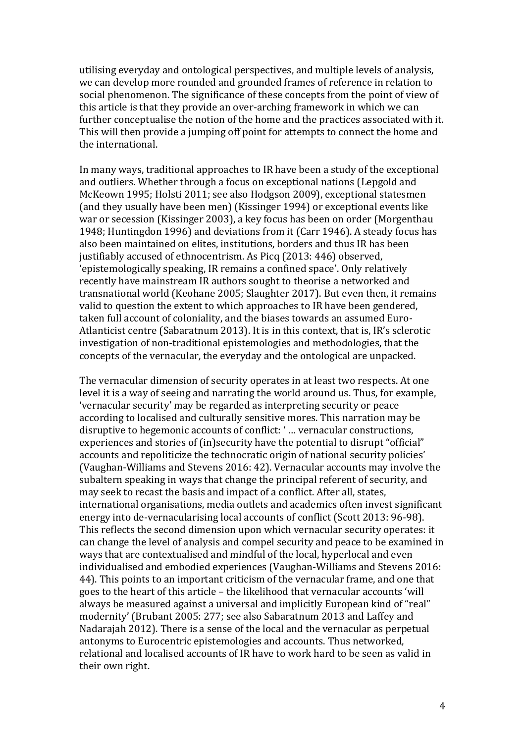utilising everyday and ontological perspectives, and multiple levels of analysis, we can develop more rounded and grounded frames of reference in relation to social phenomenon. The significance of these concepts from the point of view of this article is that they provide an over-arching framework in which we can further conceptualise the notion of the home and the practices associated with it. This will then provide a jumping off point for attempts to connect the home and the international.

In many ways, traditional approaches to IR have been a study of the exceptional and outliers. Whether through a focus on exceptional nations (Lepgold and McKeown 1995; Holsti 2011; see also Hodgson 2009), exceptional statesmen (and they usually have been men) (Kissinger 1994) or exceptional events like war or secession (Kissinger 2003), a key focus has been on order (Morgenthau 1948; Huntingdon 1996) and deviations from it (Carr 1946). A steady focus has also been maintained on elites, institutions, borders and thus IR has been justifiably accused of ethnocentrism. As Picq (2013: 446) observed, 'epistemologically speaking, IR remains a confined space'. Only relatively recently have mainstream IR authors sought to theorise a networked and transnational world (Keohane 2005; Slaughter 2017). But even then, it remains valid to question the extent to which approaches to IR have been gendered, taken full account of coloniality, and the biases towards an assumed Euro-Atlanticist centre (Sabaratnum 2013). It is in this context, that is, IR's sclerotic investigation of non-traditional epistemologies and methodologies, that the concepts of the vernacular, the everyday and the ontological are unpacked.

The vernacular dimension of security operates in at least two respects. At one level it is a way of seeing and narrating the world around us. Thus, for example, 'vernacular security' may be regarded as interpreting security or peace according to localised and culturally sensitive mores. This narration may be disruptive to hegemonic accounts of conflict: ' … vernacular constructions, experiences and stories of (in)security have the potential to disrupt "official" accounts and repoliticize the technocratic origin of national security policies' (Vaughan-Williams and Stevens 2016: 42). Vernacular accounts may involve the subaltern speaking in ways that change the principal referent of security, and may seek to recast the basis and impact of a conflict. After all, states, international organisations, media outlets and academics often invest significant energy into de-vernacularising local accounts of conflict (Scott 2013: 96-98). This reflects the second dimension upon which vernacular security operates: it can change the level of analysis and compel security and peace to be examined in ways that are contextualised and mindful of the local, hyperlocal and even individualised and embodied experiences (Vaughan-Williams and Stevens 2016: 44). This points to an important criticism of the vernacular frame, and one that goes to the heart of this article – the likelihood that vernacular accounts 'will always be measured against a universal and implicitly European kind of "real" modernity' (Brubant 2005: 277; see also Sabaratnum 2013 and Laffey and Nadarajah 2012). There is a sense of the local and the vernacular as perpetual antonyms to Eurocentric epistemologies and accounts. Thus networked, relational and localised accounts of IR have to work hard to be seen as valid in their own right.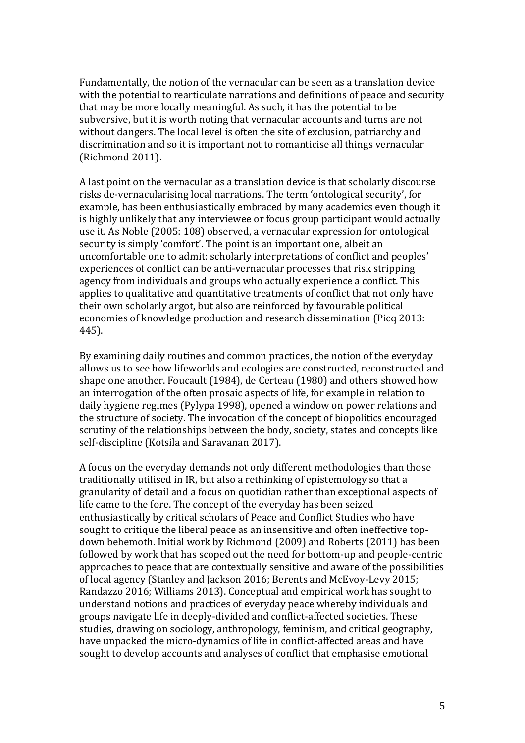Fundamentally, the notion of the vernacular can be seen as a translation device with the potential to rearticulate narrations and definitions of peace and security that may be more locally meaningful. As such, it has the potential to be subversive, but it is worth noting that vernacular accounts and turns are not without dangers. The local level is often the site of exclusion, patriarchy and discrimination and so it is important not to romanticise all things vernacular (Richmond 2011).

A last point on the vernacular as a translation device is that scholarly discourse risks de-vernacularising local narrations. The term 'ontological security', for example, has been enthusiastically embraced by many academics even though it is highly unlikely that any interviewee or focus group participant would actually use it. As Noble (2005: 108) observed, a vernacular expression for ontological security is simply 'comfort'. The point is an important one, albeit an uncomfortable one to admit: scholarly interpretations of conflict and peoples' experiences of conflict can be anti-vernacular processes that risk stripping agency from individuals and groups who actually experience a conflict. This applies to qualitative and quantitative treatments of conflict that not only have their own scholarly argot, but also are reinforced by favourable political economies of knowledge production and research dissemination (Picq 2013: 445).

By examining daily routines and common practices, the notion of the everyday allows us to see how lifeworlds and ecologies are constructed, reconstructed and shape one another. Foucault (1984), de Certeau (1980) and others showed how an interrogation of the often prosaic aspects of life, for example in relation to daily hygiene regimes (Pylypa 1998), opened a window on power relations and the structure of society. The invocation of the concept of biopolitics encouraged scrutiny of the relationships between the body, society, states and concepts like self-discipline (Kotsila and Saravanan 2017).

A focus on the everyday demands not only different methodologies than those traditionally utilised in IR, but also a rethinking of epistemology so that a granularity of detail and a focus on quotidian rather than exceptional aspects of life came to the fore. The concept of the everyday has been seized enthusiastically by critical scholars of Peace and Conflict Studies who have sought to critique the liberal peace as an insensitive and often ineffective topdown behemoth. Initial work by Richmond (2009) and Roberts (2011) has been followed by work that has scoped out the need for bottom-up and people-centric approaches to peace that are contextually sensitive and aware of the possibilities of local agency (Stanley and Jackson 2016; Berents and McEvoy-Levy 2015; Randazzo 2016; Williams 2013). Conceptual and empirical work has sought to understand notions and practices of everyday peace whereby individuals and groups navigate life in deeply-divided and conflict-affected societies. These studies, drawing on sociology, anthropology, feminism, and critical geography, have unpacked the micro-dynamics of life in conflict-affected areas and have sought to develop accounts and analyses of conflict that emphasise emotional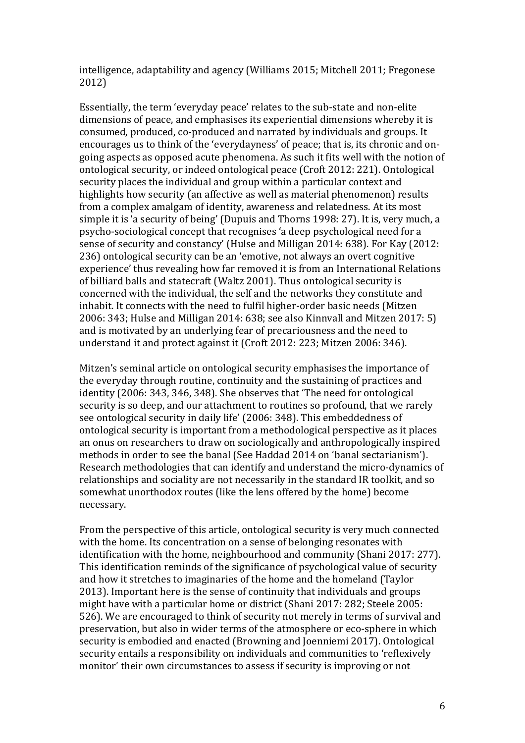intelligence, adaptability and agency (Williams 2015; Mitchell 2011; Fregonese 2012)

Essentially, the term 'everyday peace' relates to the sub-state and non-elite dimensions of peace, and emphasises its experiential dimensions whereby it is consumed, produced, co-produced and narrated by individuals and groups. It encourages us to think of the 'everydayness' of peace; that is, its chronic and ongoing aspects as opposed acute phenomena. As such it fits well with the notion of ontological security, or indeed ontological peace (Croft 2012: 221). Ontological security places the individual and group within a particular context and highlights how security (an affective as well as material phenomenon) results from a complex amalgam of identity, awareness and relatedness. At its most simple it is 'a security of being' (Dupuis and Thorns 1998: 27). It is, very much, a psycho-sociological concept that recognises 'a deep psychological need for a sense of security and constancy' (Hulse and Milligan 2014: 638). For Kay (2012: 236) ontological security can be an 'emotive, not always an overt cognitive experience' thus revealing how far removed it is from an International Relations of billiard balls and statecraft (Waltz 2001). Thus ontological security is concerned with the individual, the self and the networks they constitute and inhabit. It connects with the need to fulfil higher-order basic needs (Mitzen 2006: 343; Hulse and Milligan 2014: 638; see also Kinnvall and Mitzen 2017: 5) and is motivated by an underlying fear of precariousness and the need to understand it and protect against it (Croft 2012: 223; Mitzen 2006: 346).

Mitzen's seminal article on ontological security emphasises the importance of the everyday through routine, continuity and the sustaining of practices and identity (2006: 343, 346, 348). She observes that 'The need for ontological security is so deep, and our attachment to routines so profound, that we rarely see ontological security in daily life' (2006: 348). This embeddedness of ontological security is important from a methodological perspective as it places an onus on researchers to draw on sociologically and anthropologically inspired methods in order to see the banal (See Haddad 2014 on 'banal sectarianism'). Research methodologies that can identify and understand the micro-dynamics of relationships and sociality are not necessarily in the standard IR toolkit, and so somewhat unorthodox routes (like the lens offered by the home) become necessary.

From the perspective of this article, ontological security is very much connected with the home. Its concentration on a sense of belonging resonates with identification with the home, neighbourhood and community (Shani 2017: 277). This identification reminds of the significance of psychological value of security and how it stretches to imaginaries of the home and the homeland (Taylor 2013). Important here is the sense of continuity that individuals and groups might have with a particular home or district (Shani 2017: 282; Steele 2005: 526). We are encouraged to think of security not merely in terms of survival and preservation, but also in wider terms of the atmosphere or eco-sphere in which security is embodied and enacted (Browning and Joenniemi 2017). Ontological security entails a responsibility on individuals and communities to 'reflexively monitor' their own circumstances to assess if security is improving or not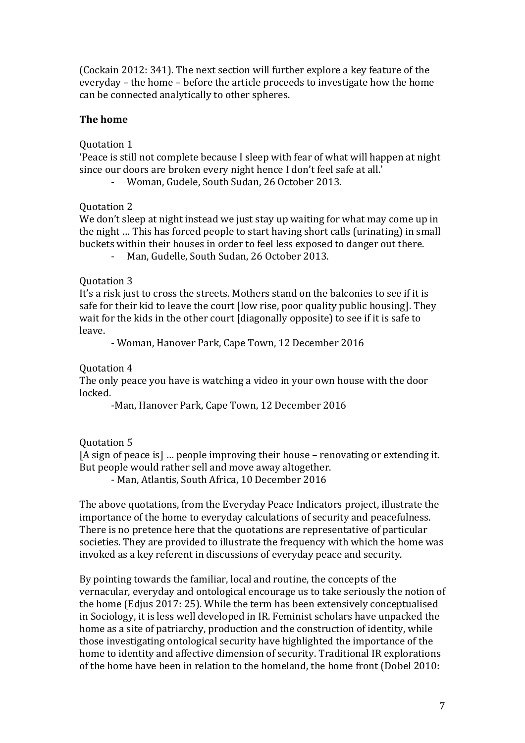(Cockain 2012: 341). The next section will further explore a key feature of the everyday – the home – before the article proceeds to investigate how the home can be connected analytically to other spheres.

# **The home**

Quotation 1

'Peace is still not complete because I sleep with fear of what will happen at night since our doors are broken every night hence I don't feel safe at all.'

- Woman, Gudele, South Sudan, 26 October 2013.

Quotation 2

We don't sleep at night instead we just stay up waiting for what may come up in the night … This has forced people to start having short calls (urinating) in small buckets within their houses in order to feel less exposed to danger out there.

Man, Gudelle, South Sudan, 26 October 2013.

Quotation 3

It's a risk just to cross the streets. Mothers stand on the balconies to see if it is safe for their kid to leave the court [low rise, poor quality public housing]. They wait for the kids in the other court [diagonally opposite) to see if it is safe to leave.

- Woman, Hanover Park, Cape Town, 12 December 2016

Quotation 4

The only peace you have is watching a video in your own house with the door locked.

-Man, Hanover Park, Cape Town, 12 December 2016

Quotation 5

[A sign of peace is] … people improving their house – renovating or extending it. But people would rather sell and move away altogether.

- Man, Atlantis, South Africa, 10 December 2016

The above quotations, from the Everyday Peace Indicators project, illustrate the importance of the home to everyday calculations of security and peacefulness. There is no pretence here that the quotations are representative of particular societies. They are provided to illustrate the frequency with which the home was invoked as a key referent in discussions of everyday peace and security.

By pointing towards the familiar, local and routine, the concepts of the vernacular, everyday and ontological encourage us to take seriously the notion of the home (Edjus 2017: 25). While the term has been extensively conceptualised in Sociology, it is less well developed in IR. Feminist scholars have unpacked the home as a site of patriarchy, production and the construction of identity, while those investigating ontological security have highlighted the importance of the home to identity and affective dimension of security. Traditional IR explorations of the home have been in relation to the homeland, the home front (Dobel 2010: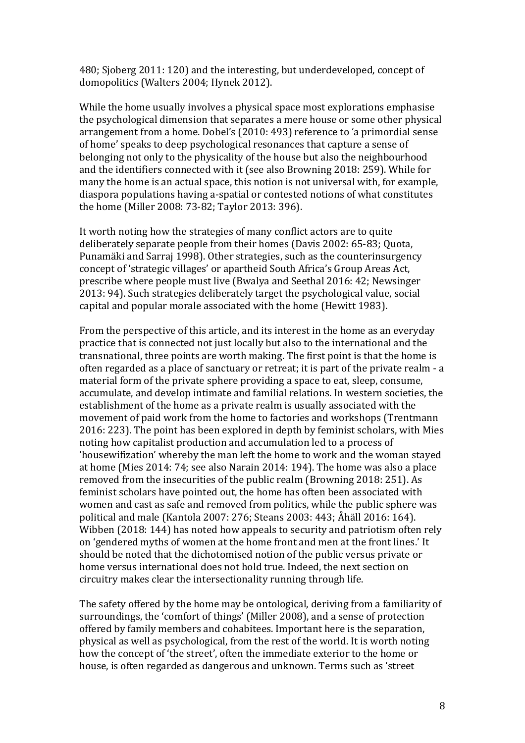480; Sjoberg 2011: 120) and the interesting, but underdeveloped, concept of domopolitics (Walters 2004; Hynek 2012).

While the home usually involves a physical space most explorations emphasise the psychological dimension that separates a mere house or some other physical arrangement from a home. Dobel's (2010: 493) reference to 'a primordial sense of home' speaks to deep psychological resonances that capture a sense of belonging not only to the physicality of the house but also the neighbourhood and the identifiers connected with it (see also Browning 2018: 259). While for many the home is an actual space, this notion is not universal with, for example, diaspora populations having a-spatial or contested notions of what constitutes the home (Miller 2008: 73-82; Taylor 2013: 396).

It worth noting how the strategies of many conflict actors are to quite deliberately separate people from their homes (Davis 2002: 65-83; Quota, Punamäki and Sarraj 1998). Other strategies, such as the counterinsurgency concept of 'strategic villages' or apartheid South Africa's Group Areas Act, prescribe where people must live (Bwalya and Seethal 2016: 42; Newsinger 2013: 94). Such strategies deliberately target the psychological value, social capital and popular morale associated with the home (Hewitt 1983).

From the perspective of this article, and its interest in the home as an everyday practice that is connected not just locally but also to the international and the transnational, three points are worth making. The first point is that the home is often regarded as a place of sanctuary or retreat; it is part of the private realm - a material form of the private sphere providing a space to eat, sleep, consume, accumulate, and develop intimate and familial relations. In western societies, the establishment of the home as a private realm is usually associated with the movement of paid work from the home to factories and workshops (Trentmann 2016: 223). The point has been explored in depth by feminist scholars, with Mies noting how capitalist production and accumulation led to a process of 'housewifization' whereby the man left the home to work and the woman stayed at home (Mies 2014: 74; see also Narain 2014: 194). The home was also a place removed from the insecurities of the public realm (Browning 2018: 251). As feminist scholars have pointed out, the home has often been associated with women and cast as safe and removed from politics, while the public sphere was political and male (Kantola 2007: 276; Steans 2003: 443; Åhäll 2016: 164). Wibben (2018: 144) has noted how appeals to security and patriotism often rely on 'gendered myths of women at the home front and men at the front lines.' It should be noted that the dichotomised notion of the public versus private or home versus international does not hold true. Indeed, the next section on circuitry makes clear the intersectionality running through life.

The safety offered by the home may be ontological, deriving from a familiarity of surroundings, the 'comfort of things' (Miller 2008), and a sense of protection offered by family members and cohabitees. Important here is the separation, physical as well as psychological, from the rest of the world. It is worth noting how the concept of 'the street', often the immediate exterior to the home or house, is often regarded as dangerous and unknown. Terms such as 'street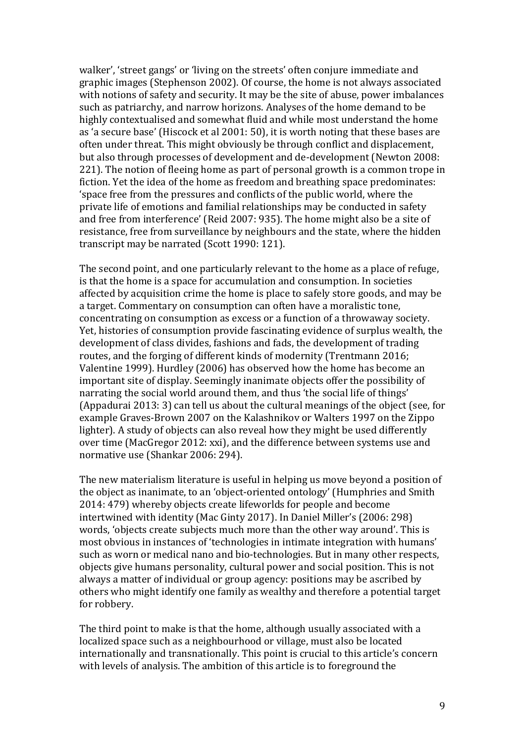walker', 'street gangs' or 'living on the streets' often conjure immediate and graphic images (Stephenson 2002). Of course, the home is not always associated with notions of safety and security. It may be the site of abuse, power imbalances such as patriarchy, and narrow horizons. Analyses of the home demand to be highly contextualised and somewhat fluid and while most understand the home as 'a secure base' (Hiscock et al 2001: 50), it is worth noting that these bases are often under threat. This might obviously be through conflict and displacement, but also through processes of development and de-development (Newton 2008: 221). The notion of fleeing home as part of personal growth is a common trope in fiction. Yet the idea of the home as freedom and breathing space predominates: 'space free from the pressures and conflicts of the public world, where the private life of emotions and familial relationships may be conducted in safety and free from interference' (Reid 2007: 935). The home might also be a site of resistance, free from surveillance by neighbours and the state, where the hidden transcript may be narrated (Scott 1990: 121).

The second point, and one particularly relevant to the home as a place of refuge, is that the home is a space for accumulation and consumption. In societies affected by acquisition crime the home is place to safely store goods, and may be a target. Commentary on consumption can often have a moralistic tone, concentrating on consumption as excess or a function of a throwaway society. Yet, histories of consumption provide fascinating evidence of surplus wealth, the development of class divides, fashions and fads, the development of trading routes, and the forging of different kinds of modernity (Trentmann 2016; Valentine 1999). Hurdley (2006) has observed how the home has become an important site of display. Seemingly inanimate objects offer the possibility of narrating the social world around them, and thus 'the social life of things' (Appadurai 2013: 3) can tell us about the cultural meanings of the object (see, for example Graves-Brown 2007 on the Kalashnikov or Walters 1997 on the Zippo lighter). A study of objects can also reveal how they might be used differently over time (MacGregor 2012: xxi), and the difference between systems use and normative use (Shankar 2006: 294).

The new materialism literature is useful in helping us move beyond a position of the object as inanimate, to an 'object-oriented ontology' (Humphries and Smith 2014: 479) whereby objects create lifeworlds for people and become intertwined with identity (Mac Ginty 2017). In Daniel Miller's (2006: 298) words, 'objects create subjects much more than the other way around'. This is most obvious in instances of 'technologies in intimate integration with humans' such as worn or medical nano and bio-technologies. But in many other respects, objects give humans personality, cultural power and social position. This is not always a matter of individual or group agency: positions may be ascribed by others who might identify one family as wealthy and therefore a potential target for robbery.

The third point to make is that the home, although usually associated with a localized space such as a neighbourhood or village, must also be located internationally and transnationally. This point is crucial to this article's concern with levels of analysis. The ambition of this article is to foreground the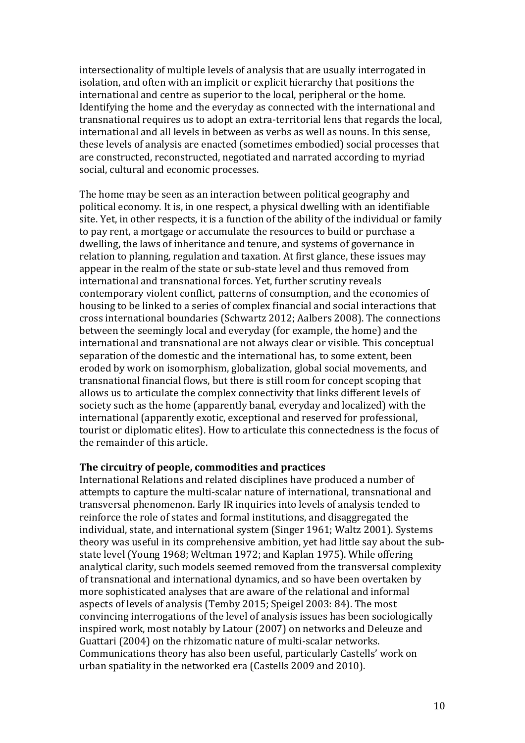intersectionality of multiple levels of analysis that are usually interrogated in isolation, and often with an implicit or explicit hierarchy that positions the international and centre as superior to the local, peripheral or the home. Identifying the home and the everyday as connected with the international and transnational requires us to adopt an extra-territorial lens that regards the local, international and all levels in between as verbs as well as nouns. In this sense, these levels of analysis are enacted (sometimes embodied) social processes that are constructed, reconstructed, negotiated and narrated according to myriad social, cultural and economic processes.

The home may be seen as an interaction between political geography and political economy. It is, in one respect, a physical dwelling with an identifiable site. Yet, in other respects, it is a function of the ability of the individual or family to pay rent, a mortgage or accumulate the resources to build or purchase a dwelling, the laws of inheritance and tenure, and systems of governance in relation to planning, regulation and taxation. At first glance, these issues may appear in the realm of the state or sub-state level and thus removed from international and transnational forces. Yet, further scrutiny reveals contemporary violent conflict, patterns of consumption, and the economies of housing to be linked to a series of complex financial and social interactions that cross international boundaries (Schwartz 2012; Aalbers 2008). The connections between the seemingly local and everyday (for example, the home) and the international and transnational are not always clear or visible. This conceptual separation of the domestic and the international has, to some extent, been eroded by work on isomorphism, globalization, global social movements, and transnational financial flows, but there is still room for concept scoping that allows us to articulate the complex connectivity that links different levels of society such as the home (apparently banal, everyday and localized) with the international (apparently exotic, exceptional and reserved for professional, tourist or diplomatic elites). How to articulate this connectedness is the focus of the remainder of this article.

# **The circuitry of people, commodities and practices**

International Relations and related disciplines have produced a number of attempts to capture the multi-scalar nature of international, transnational and transversal phenomenon. Early IR inquiries into levels of analysis tended to reinforce the role of states and formal institutions, and disaggregated the individual, state, and international system (Singer 1961; Waltz 2001). Systems theory was useful in its comprehensive ambition, yet had little say about the substate level (Young 1968; Weltman 1972; and Kaplan 1975). While offering analytical clarity, such models seemed removed from the transversal complexity of transnational and international dynamics, and so have been overtaken by more sophisticated analyses that are aware of the relational and informal aspects of levels of analysis (Temby 2015; Speigel 2003: 84). The most convincing interrogations of the level of analysis issues has been sociologically inspired work, most notably by Latour (2007) on networks and Deleuze and Guattari (2004) on the rhizomatic nature of multi-scalar networks. Communications theory has also been useful, particularly Castells' work on urban spatiality in the networked era (Castells 2009 and 2010).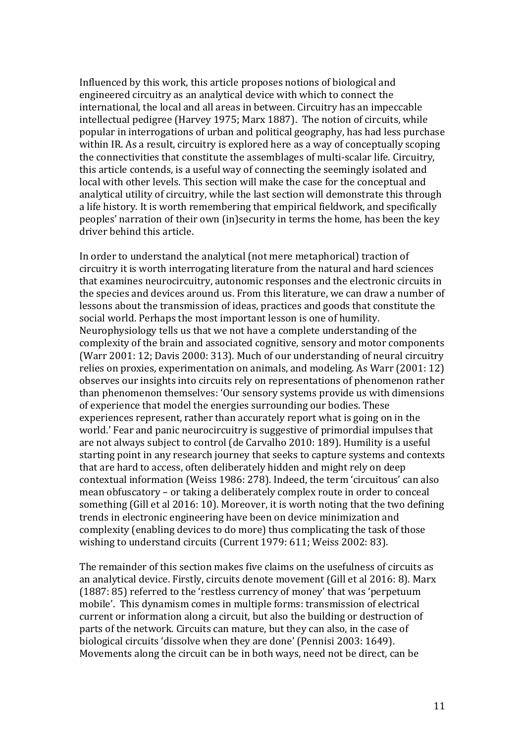Influenced by this work, this article proposes notions of biological and engineered circuitry as an analytical device with which to connect the international, the local and all areas in between. Circuitry has an impeccable intellectual pedigree (Harvey 1975; Marx 1887). The notion of circuits, while popular in interrogations of urban and political geography, has had less purchase within IR. As a result, circuitry is explored here as a way of conceptually scoping the connectivities that constitute the assemblages of multi-scalar life. Circuitry, this article contends, is a useful way of connecting the seemingly isolated and local with other levels. This section will make the case for the conceptual and analytical utility of circuitry, while the last section will demonstrate this through a life history. It is worth remembering that empirical fieldwork, and specifically peoples' narration of their own (in)security in terms the home, has been the key driver behind this article.

In order to understand the analytical (not mere metaphorical) traction of circuitry it is worth interrogating literature from the natural and hard sciences that examines neurocircuitry, autonomic responses and the electronic circuits in the species and devices around us. From this literature, we can draw a number of lessons about the transmission of ideas, practices and goods that constitute the social world. Perhaps the most important lesson is one of humility. Neurophysiology tells us that we not have a complete understanding of the complexity of the brain and associated cognitive, sensory and motor components (Warr 2001: 12; Davis 2000: 313). Much of our understanding of neural circuitry relies on proxies, experimentation on animals, and modeling. As Warr (2001: 12) observes our insights into circuits rely on representations of phenomenon rather than phenomenon themselves: 'Our sensory systems provide us with dimensions of experience that model the energies surrounding our bodies. These experiences represent, rather than accurately report what is going on in the world.' Fear and panic neurocircuitry is suggestive of primordial impulses that are not always subject to control (de Carvalho 2010: 189). Humility is a useful starting point in any research journey that seeks to capture systems and contexts that are hard to access, often deliberately hidden and might rely on deep contextual information (Weiss 1986: 278). Indeed, the term 'circuitous' can also mean obfuscatory – or taking a deliberately complex route in order to conceal something (Gill et al 2016: 10). Moreover, it is worth noting that the two defining trends in electronic engineering have been on device minimization and complexity (enabling devices to do more) thus complicating the task of those wishing to understand circuits (Current 1979: 611; Weiss 2002: 83).

The remainder of this section makes five claims on the usefulness of circuits as an analytical device. Firstly, circuits denote movement (Gill et al 2016: 8). Marx (1887: 85) referred to the 'restless currency of money' that was 'perpetuum mobile'. This dynamism comes in multiple forms: transmission of electrical current or information along a circuit, but also the building or destruction of parts of the network. Circuits can mature, but they can also, in the case of biological circuits 'dissolve when they are done' (Pennisi 2003: 1649). Movements along the circuit can be in both ways, need not be direct, can be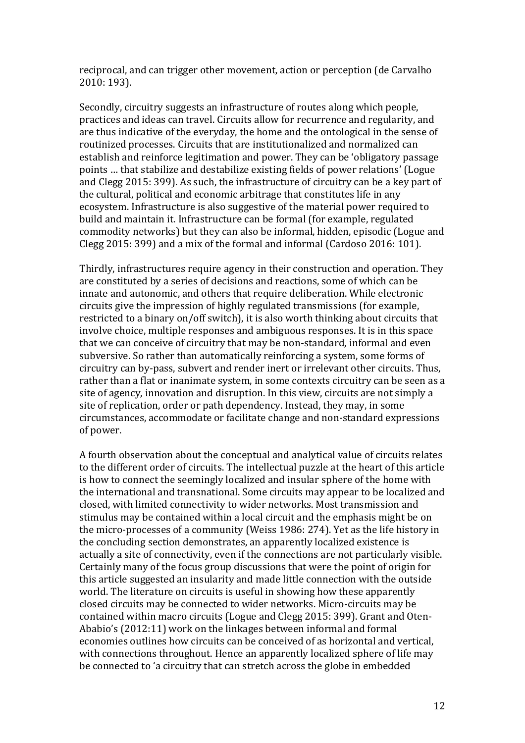reciprocal, and can trigger other movement, action or perception (de Carvalho 2010: 193).

Secondly, circuitry suggests an infrastructure of routes along which people, practices and ideas can travel. Circuits allow for recurrence and regularity, and are thus indicative of the everyday, the home and the ontological in the sense of routinized processes. Circuits that are institutionalized and normalized can establish and reinforce legitimation and power. They can be 'obligatory passage points … that stabilize and destabilize existing fields of power relations' (Logue and Clegg 2015: 399). As such, the infrastructure of circuitry can be a key part of the cultural, political and economic arbitrage that constitutes life in any ecosystem. Infrastructure is also suggestive of the material power required to build and maintain it. Infrastructure can be formal (for example, regulated commodity networks) but they can also be informal, hidden, episodic (Logue and Clegg 2015: 399) and a mix of the formal and informal (Cardoso 2016: 101).

Thirdly, infrastructures require agency in their construction and operation. They are constituted by a series of decisions and reactions, some of which can be innate and autonomic, and others that require deliberation. While electronic circuits give the impression of highly regulated transmissions (for example, restricted to a binary on/off switch), it is also worth thinking about circuits that involve choice, multiple responses and ambiguous responses. It is in this space that we can conceive of circuitry that may be non-standard, informal and even subversive. So rather than automatically reinforcing a system, some forms of circuitry can by-pass, subvert and render inert or irrelevant other circuits. Thus, rather than a flat or inanimate system, in some contexts circuitry can be seen as a site of agency, innovation and disruption. In this view, circuits are not simply a site of replication, order or path dependency. Instead, they may, in some circumstances, accommodate or facilitate change and non-standard expressions of power.

A fourth observation about the conceptual and analytical value of circuits relates to the different order of circuits. The intellectual puzzle at the heart of this article is how to connect the seemingly localized and insular sphere of the home with the international and transnational. Some circuits may appear to be localized and closed, with limited connectivity to wider networks. Most transmission and stimulus may be contained within a local circuit and the emphasis might be on the micro-processes of a community (Weiss 1986: 274). Yet as the life history in the concluding section demonstrates, an apparently localized existence is actually a site of connectivity, even if the connections are not particularly visible. Certainly many of the focus group discussions that were the point of origin for this article suggested an insularity and made little connection with the outside world. The literature on circuits is useful in showing how these apparently closed circuits may be connected to wider networks. Micro-circuits may be contained within macro circuits (Logue and Clegg 2015: 399). Grant and Oten-Ababio's (2012:11) work on the linkages between informal and formal economies outlines how circuits can be conceived of as horizontal and vertical, with connections throughout. Hence an apparently localized sphere of life may be connected to 'a circuitry that can stretch across the globe in embedded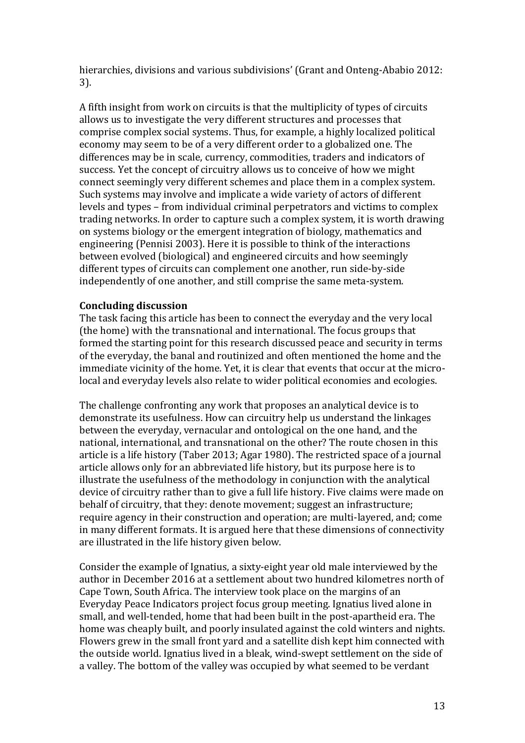hierarchies, divisions and various subdivisions' (Grant and Onteng-Ababio 2012: 3).

A fifth insight from work on circuits is that the multiplicity of types of circuits allows us to investigate the very different structures and processes that comprise complex social systems. Thus, for example, a highly localized political economy may seem to be of a very different order to a globalized one. The differences may be in scale, currency, commodities, traders and indicators of success. Yet the concept of circuitry allows us to conceive of how we might connect seemingly very different schemes and place them in a complex system. Such systems may involve and implicate a wide variety of actors of different levels and types – from individual criminal perpetrators and victims to complex trading networks. In order to capture such a complex system, it is worth drawing on systems biology or the emergent integration of biology, mathematics and engineering (Pennisi 2003). Here it is possible to think of the interactions between evolved (biological) and engineered circuits and how seemingly different types of circuits can complement one another, run side-by-side independently of one another, and still comprise the same meta-system.

# **Concluding discussion**

The task facing this article has been to connect the everyday and the very local (the home) with the transnational and international. The focus groups that formed the starting point for this research discussed peace and security in terms of the everyday, the banal and routinized and often mentioned the home and the immediate vicinity of the home. Yet, it is clear that events that occur at the microlocal and everyday levels also relate to wider political economies and ecologies.

The challenge confronting any work that proposes an analytical device is to demonstrate its usefulness. How can circuitry help us understand the linkages between the everyday, vernacular and ontological on the one hand, and the national, international, and transnational on the other? The route chosen in this article is a life history (Taber 2013; Agar 1980). The restricted space of a journal article allows only for an abbreviated life history, but its purpose here is to illustrate the usefulness of the methodology in conjunction with the analytical device of circuitry rather than to give a full life history. Five claims were made on behalf of circuitry, that they: denote movement; suggest an infrastructure; require agency in their construction and operation; are multi-layered, and; come in many different formats. It is argued here that these dimensions of connectivity are illustrated in the life history given below.

Consider the example of Ignatius, a sixty-eight year old male interviewed by the author in December 2016 at a settlement about two hundred kilometres north of Cape Town, South Africa. The interview took place on the margins of an Everyday Peace Indicators project focus group meeting. Ignatius lived alone in small, and well-tended, home that had been built in the post-apartheid era. The home was cheaply built, and poorly insulated against the cold winters and nights. Flowers grew in the small front yard and a satellite dish kept him connected with the outside world. Ignatius lived in a bleak, wind-swept settlement on the side of a valley. The bottom of the valley was occupied by what seemed to be verdant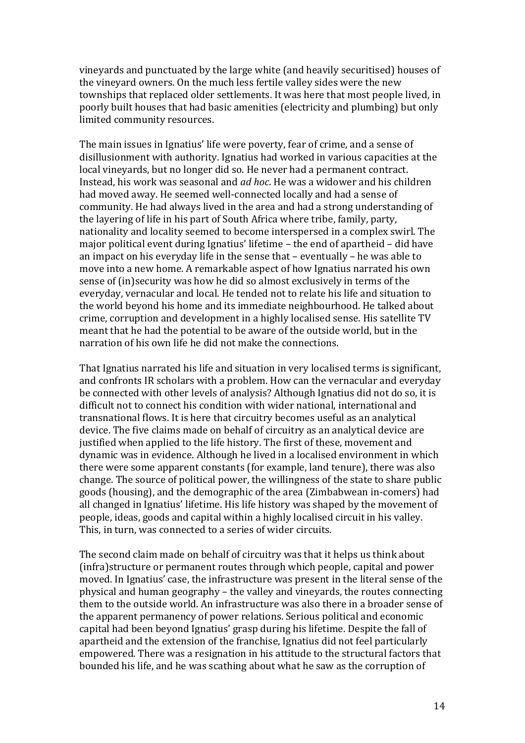vineyards and punctuated by the large white (and heavily securitised) houses of the vineyard owners. On the much less fertile valley sides were the new townships that replaced older settlements. It was here that most people lived, in poorly built houses that had basic amenities (electricity and plumbing) but only limited community resources.

The main issues in Ignatius' life were poverty, fear of crime, and a sense of disillusionment with authority. Ignatius had worked in various capacities at the local vineyards, but no longer did so. He never had a permanent contract. Instead, his work was seasonal and *ad hoc*. He was a widower and his children had moved away. He seemed well-connected locally and had a sense of community. He had always lived in the area and had a strong understanding of the layering of life in his part of South Africa where tribe, family, party, nationality and locality seemed to become interspersed in a complex swirl. The major political event during Ignatius' lifetime – the end of apartheid – did have an impact on his everyday life in the sense that – eventually – he was able to move into a new home. A remarkable aspect of how Ignatius narrated his own sense of (in)security was how he did so almost exclusively in terms of the everyday, vernacular and local. He tended not to relate his life and situation to the world beyond his home and its immediate neighbourhood. He talked about crime, corruption and development in a highly localised sense. His satellite TV meant that he had the potential to be aware of the outside world, but in the narration of his own life he did not make the connections.

That Ignatius narrated his life and situation in very localised terms is significant, and confronts IR scholars with a problem. How can the vernacular and everyday be connected with other levels of analysis? Although Ignatius did not do so, it is difficult not to connect his condition with wider national, international and transnational flows. It is here that circuitry becomes useful as an analytical device. The five claims made on behalf of circuitry as an analytical device are justified when applied to the life history. The first of these, movement and dynamic was in evidence. Although he lived in a localised environment in which there were some apparent constants (for example, land tenure), there was also change. The source of political power, the willingness of the state to share public goods (housing), and the demographic of the area (Zimbabwean in-comers) had all changed in Ignatius' lifetime. His life history was shaped by the movement of people, ideas, goods and capital within a highly localised circuit in his valley. This, in turn, was connected to a series of wider circuits.

The second claim made on behalf of circuitry was that it helps us think about (infra)structure or permanent routes through which people, capital and power moved. In Ignatius' case, the infrastructure was present in the literal sense of the physical and human geography – the valley and vineyards, the routes connecting them to the outside world. An infrastructure was also there in a broader sense of the apparent permanency of power relations. Serious political and economic capital had been beyond Ignatius' grasp during his lifetime. Despite the fall of apartheid and the extension of the franchise, Ignatius did not feel particularly empowered. There was a resignation in his attitude to the structural factors that bounded his life, and he was scathing about what he saw as the corruption of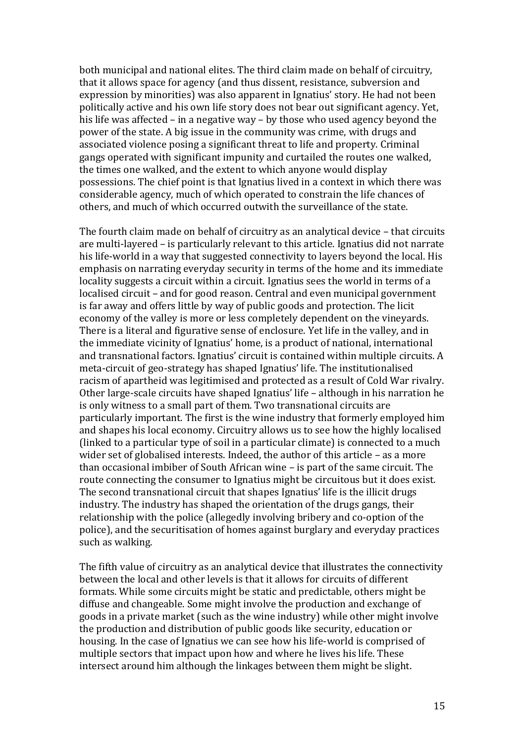both municipal and national elites. The third claim made on behalf of circuitry, that it allows space for agency (and thus dissent, resistance, subversion and expression by minorities) was also apparent in Ignatius' story. He had not been politically active and his own life story does not bear out significant agency. Yet, his life was affected – in a negative way – by those who used agency beyond the power of the state. A big issue in the community was crime, with drugs and associated violence posing a significant threat to life and property. Criminal gangs operated with significant impunity and curtailed the routes one walked, the times one walked, and the extent to which anyone would display possessions. The chief point is that Ignatius lived in a context in which there was considerable agency, much of which operated to constrain the life chances of others, and much of which occurred outwith the surveillance of the state.

The fourth claim made on behalf of circuitry as an analytical device – that circuits are multi-layered – is particularly relevant to this article. Ignatius did not narrate his life-world in a way that suggested connectivity to layers beyond the local. His emphasis on narrating everyday security in terms of the home and its immediate locality suggests a circuit within a circuit. Ignatius sees the world in terms of a localised circuit – and for good reason. Central and even municipal government is far away and offers little by way of public goods and protection. The licit economy of the valley is more or less completely dependent on the vineyards. There is a literal and figurative sense of enclosure. Yet life in the valley, and in the immediate vicinity of Ignatius' home, is a product of national, international and transnational factors. Ignatius' circuit is contained within multiple circuits. A meta-circuit of geo-strategy has shaped Ignatius' life. The institutionalised racism of apartheid was legitimised and protected as a result of Cold War rivalry. Other large-scale circuits have shaped Ignatius' life – although in his narration he is only witness to a small part of them. Two transnational circuits are particularly important. The first is the wine industry that formerly employed him and shapes his local economy. Circuitry allows us to see how the highly localised (linked to a particular type of soil in a particular climate) is connected to a much wider set of globalised interests. Indeed, the author of this article – as a more than occasional imbiber of South African wine – is part of the same circuit. The route connecting the consumer to Ignatius might be circuitous but it does exist. The second transnational circuit that shapes Ignatius' life is the illicit drugs industry. The industry has shaped the orientation of the drugs gangs, their relationship with the police (allegedly involving bribery and co-option of the police), and the securitisation of homes against burglary and everyday practices such as walking.

The fifth value of circuitry as an analytical device that illustrates the connectivity between the local and other levels is that it allows for circuits of different formats. While some circuits might be static and predictable, others might be diffuse and changeable. Some might involve the production and exchange of goods in a private market (such as the wine industry) while other might involve the production and distribution of public goods like security, education or housing. In the case of Ignatius we can see how his life-world is comprised of multiple sectors that impact upon how and where he lives his life. These intersect around him although the linkages between them might be slight.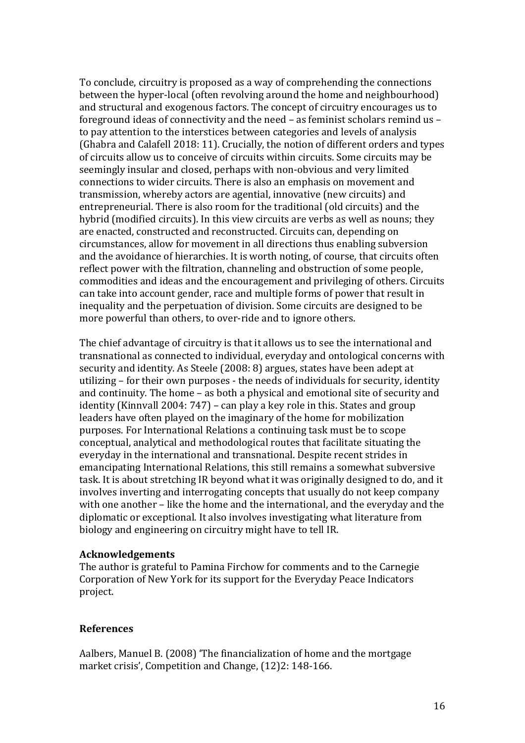To conclude, circuitry is proposed as a way of comprehending the connections between the hyper-local (often revolving around the home and neighbourhood) and structural and exogenous factors. The concept of circuitry encourages us to foreground ideas of connectivity and the need – as feminist scholars remind us – to pay attention to the interstices between categories and levels of analysis (Ghabra and Calafell 2018: 11). Crucially, the notion of different orders and types of circuits allow us to conceive of circuits within circuits. Some circuits may be seemingly insular and closed, perhaps with non-obvious and very limited connections to wider circuits. There is also an emphasis on movement and transmission, whereby actors are agential, innovative (new circuits) and entrepreneurial. There is also room for the traditional (old circuits) and the hybrid (modified circuits). In this view circuits are verbs as well as nouns; they are enacted, constructed and reconstructed. Circuits can, depending on circumstances, allow for movement in all directions thus enabling subversion and the avoidance of hierarchies. It is worth noting, of course, that circuits often reflect power with the filtration, channeling and obstruction of some people, commodities and ideas and the encouragement and privileging of others. Circuits can take into account gender, race and multiple forms of power that result in inequality and the perpetuation of division. Some circuits are designed to be more powerful than others, to over-ride and to ignore others.

The chief advantage of circuitry is that it allows us to see the international and transnational as connected to individual, everyday and ontological concerns with security and identity. As Steele (2008: 8) argues, states have been adept at utilizing – for their own purposes - the needs of individuals for security, identity and continuity. The home – as both a physical and emotional site of security and identity (Kinnvall 2004: 747) – can play a key role in this. States and group leaders have often played on the imaginary of the home for mobilization purposes. For International Relations a continuing task must be to scope conceptual, analytical and methodological routes that facilitate situating the everyday in the international and transnational. Despite recent strides in emancipating International Relations, this still remains a somewhat subversive task. It is about stretching IR beyond what it was originally designed to do, and it involves inverting and interrogating concepts that usually do not keep company with one another – like the home and the international, and the everyday and the diplomatic or exceptional. It also involves investigating what literature from biology and engineering on circuitry might have to tell IR.

# **Acknowledgements**

The author is grateful to Pamina Firchow for comments and to the Carnegie Corporation of New York for its support for the Everyday Peace Indicators project.

# **References**

Aalbers, Manuel B. (2008) 'The financialization of home and the mortgage market crisis', Competition and Change, (12)2: 148-166.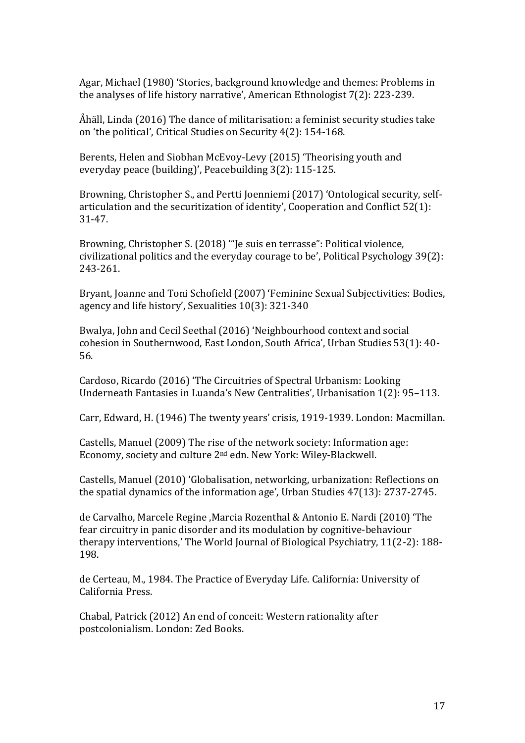Agar, Michael (1980) 'Stories, background knowledge and themes: Problems in the analyses of life history narrative', American Ethnologist 7(2): 223-239.

Åhäll, Linda (2016) The dance of militarisation: a feminist security studies take on 'the political', Critical Studies on Security 4(2): 154-168.

Berents, Helen and Siobhan McEvoy-Levy (2015) 'Theorising youth and everyday peace (building)', Peacebuilding 3(2): 115-125.

Browning, Christopher S., and Pertti Joenniemi (2017) 'Ontological security, selfarticulation and the securitization of identity', Cooperation and Conflict 52(1): 31-47.

Browning, Christopher S. (2018) '"Je suis en terrasse": Political violence, civilizational politics and the everyday courage to be', Political Psychology 39(2): 243-261.

Bryant, Joanne and Toni Schofield (2007) 'Feminine Sexual Subjectivities: Bodies, agency and life history', Sexualities 10(3): 321-340

Bwalya, John and Cecil Seethal (2016) 'Neighbourhood context and social cohesion in Southernwood, East London, South Africa', Urban Studies 53(1): 40- 56.

Cardoso, Ricardo (2016) 'The Circuitries of Spectral Urbanism: Looking Underneath Fantasies in Luanda's New Centralities', Urbanisation 1(2): 95–113.

Carr, Edward, H. (1946) The twenty years' crisis, 1919-1939. London: Macmillan.

Castells, Manuel (2009) The rise of the network society: Information age: Economy, society and culture 2nd edn. New York: Wiley-Blackwell.

Castells, Manuel (2010) 'Globalisation, networking, urbanization: Reflections on the spatial dynamics of the information age', Urban Studies 47(13): 2737-2745.

de Carvalho, Marcele Regine ,Marcia Rozenthal & Antonio E. Nardi (2010) 'The fear circuitry in panic disorder and its modulation by cognitive-behaviour therapy interventions,' The World Journal of Biological Psychiatry, 11(2-2): 188- 198.

de Certeau, M., 1984. The Practice of Everyday Life. California: University of California Press.

Chabal, Patrick (2012) An end of conceit: Western rationality after postcolonialism. London: Zed Books.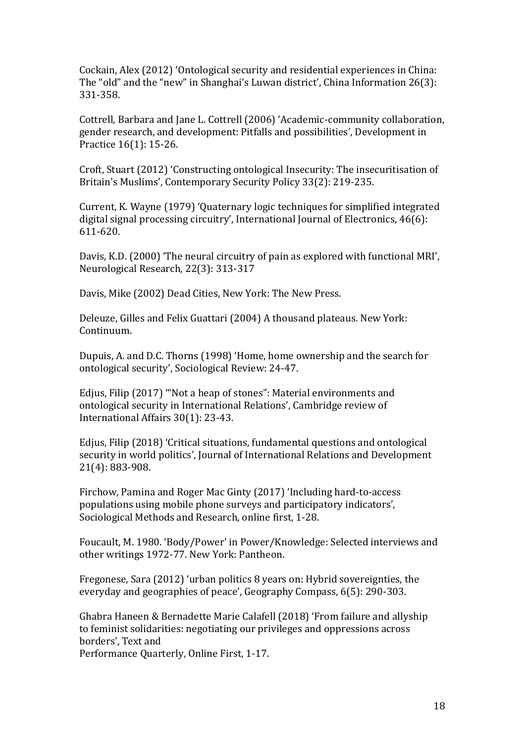Cockain, Alex (2012) 'Ontological security and residential experiences in China: The "old" and the "new" in Shanghai's Luwan district', China Information 26(3): 331-358.

Cottrell, Barbara and Jane L. Cottrell (2006) 'Academic-community collaboration, gender research, and development: Pitfalls and possibilities', Development in Practice 16(1): 15-26.

Croft, Stuart (2012) 'Constructing ontological Insecurity: The insecuritisation of Britain's Muslims', Contemporary Security Policy 33(2): 219-235.

Current, K. Wayne (1979) 'Quaternary logic techniques for simplified integrated digital signal processing circuitry', International Journal of Electronics, 46(6): 611-620.

Davis, K.D. (2000) 'The neural circuitry of pain as explored with functional MRI', Neurological Research, 22(3): 313-317

Davis, Mike (2002) Dead Cities, New York: The New Press.

Deleuze, Gilles and Felix Guattari (2004) A thousand plateaus. New York: Continuum.

Dupuis, A. and D.C. Thorns (1998) 'Home, home ownership and the search for ontological security', Sociological Review: 24-47.

Edjus, Filip (2017) '"Not a heap of stones": Material environments and ontological security in International Relations', Cambridge review of International Affairs 30(1): 23-43.

Edjus, Filip (2018) 'Critical situations, fundamental questions and ontological security in world politics', Journal of International Relations and Development 21(4): 883-908.

Firchow, Pamina and Roger Mac Ginty (2017) 'Including hard-to-access populations using mobile phone surveys and participatory indicators', Sociological Methods and Research, online first, 1-28.

Foucault, M. 1980. 'Body/Power' in Power/Knowledge: Selected interviews and other writings 1972-77. New York: Pantheon.

Fregonese, Sara (2012) 'urban politics 8 years on: Hybrid sovereignties, the everyday and geographies of peace', Geography Compass, 6(5): 290-303.

Ghabra Haneen & Bernadette Marie Calafell (2018) 'From failure and allyship to feminist solidarities: negotiating our privileges and oppressions across borders', Text and

Performance Quarterly, Online First, 1-17.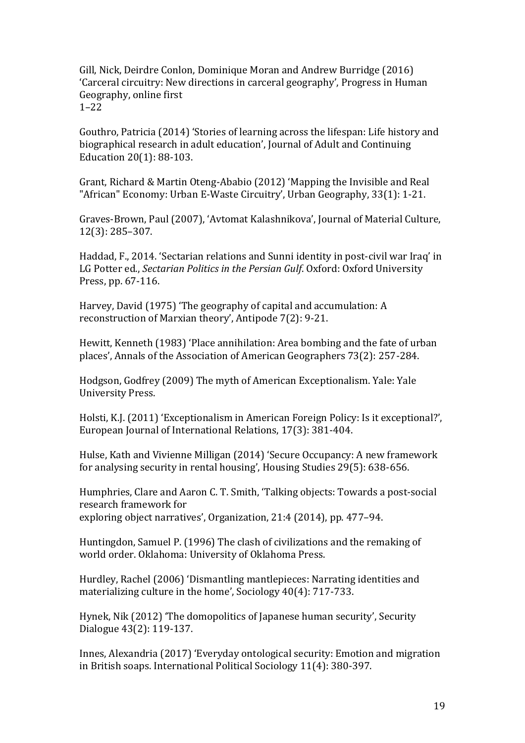Gill, Nick, Deirdre Conlon, Dominique Moran and Andrew Burridge (2016) 'Carceral circuitry: New directions in carceral geography', Progress in Human Geography, online first 1–22

Gouthro, Patricia (2014) 'Stories of learning across the lifespan: Life history and biographical research in adult education', Journal of Adult and Continuing Education 20(1): 88-103.

Grant, Richard & Martin Oteng-Ababio (2012) 'Mapping the Invisible and Real "African" Economy: Urban E-Waste Circuitry', Urban Geography, 33(1): 1-21.

Graves-Brown, Paul (2007), 'Avtomat Kalashnikova', Journal of Material Culture, 12(3): 285–307.

Haddad, F., 2014. 'Sectarian relations and Sunni identity in post-civil war Iraq' in LG Potter ed., *Sectarian Politics in the Persian Gulf*. Oxford: Oxford University Press, pp. 67-116.

Harvey, David (1975) 'The geography of capital and accumulation: A reconstruction of Marxian theory', Antipode 7(2): 9-21.

Hewitt, Kenneth (1983) 'Place annihilation: Area bombing and the fate of urban places', Annals of the Association of American Geographers 73(2): 257-284.

Hodgson, Godfrey (2009) The myth of American Exceptionalism. Yale: Yale University Press.

Holsti, K.J. (2011) 'Exceptionalism in American Foreign Policy: Is it exceptional?', European Journal of International Relations, 17(3): 381-404.

Hulse, Kath and Vivienne Milligan (2014) 'Secure Occupancy: A new framework for analysing security in rental housing', Housing Studies 29(5): 638-656.

Humphries, Clare and Aaron C. T. Smith, 'Talking objects: Towards a post-social research framework for exploring object narratives', Organization, 21:4 (2014), pp. 477–94.

Huntingdon, Samuel P. (1996) The clash of civilizations and the remaking of world order. Oklahoma: University of Oklahoma Press.

Hurdley, Rachel (2006) 'Dismantling mantlepieces: Narrating identities and materializing culture in the home', Sociology 40(4): 717-733.

Hynek, Nik (2012) 'The domopolitics of Japanese human security', Security Dialogue 43(2): 119-137.

Innes, Alexandria (2017) 'Everyday ontological security: Emotion and migration in British soaps. International Political Sociology 11(4): 380-397.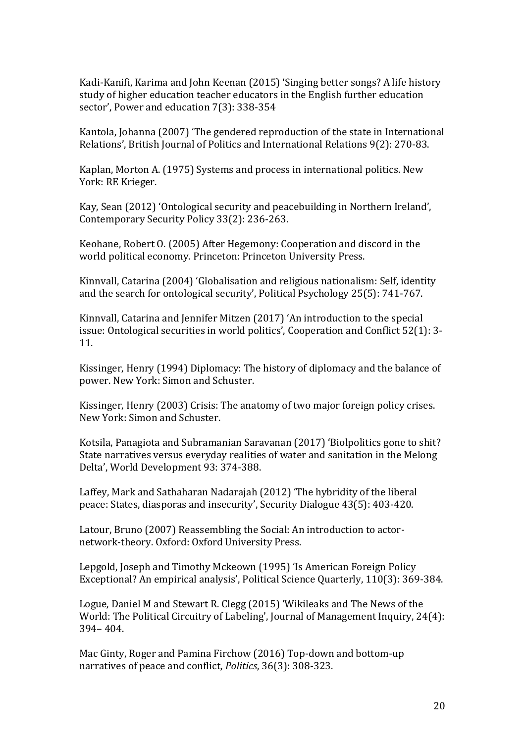Kadi-Kanifi, Karima and John Keenan (2015) 'Singing better songs? A life history study of higher education teacher educators in the English further education sector', Power and education 7(3): 338-354

Kantola, Johanna (2007) 'The gendered reproduction of the state in International Relations', British Journal of Politics and International Relations 9(2): 270-83.

Kaplan, Morton A. (1975) Systems and process in international politics. New York: RE Krieger.

Kay, Sean (2012) 'Ontological security and peacebuilding in Northern Ireland', Contemporary Security Policy 33(2): 236-263.

Keohane, Robert O. (2005) After Hegemony: Cooperation and discord in the world political economy. Princeton: Princeton University Press.

Kinnvall, Catarina (2004) 'Globalisation and religious nationalism: Self, identity and the search for ontological security', Political Psychology 25(5): 741-767.

Kinnvall, Catarina and Jennifer Mitzen (2017) 'An introduction to the special issue: Ontological securities in world politics', Cooperation and Conflict 52(1): 3- 11.

Kissinger, Henry (1994) Diplomacy: The history of diplomacy and the balance of power. New York: Simon and Schuster.

Kissinger, Henry (2003) Crisis: The anatomy of two major foreign policy crises. New York: Simon and Schuster.

Kotsila, Panagiota and Subramanian Saravanan (2017) 'Biolpolitics gone to shit? State narratives versus everyday realities of water and sanitation in the Melong Delta', World Development 93: 374-388.

Laffey, Mark and Sathaharan Nadarajah (2012) 'The hybridity of the liberal peace: States, diasporas and insecurity', Security Dialogue 43(5): 403-420.

Latour, Bruno (2007) Reassembling the Social: An introduction to actornetwork-theory. Oxford: Oxford University Press.

Lepgold, Joseph and Timothy Mckeown (1995) 'Is American Foreign Policy Exceptional? An empirical analysis', Political Science Quarterly, 110(3): 369-384.

Logue, Daniel M and Stewart R. Clegg (2015) 'Wikileaks and The News of the World: The Political Circuitry of Labeling', Journal of Management Inquiry, 24(4): 394– 404.

Mac Ginty, Roger and Pamina Firchow (2016) Top-down and bottom-up narratives of peace and conflict, *Politics*, 36(3): 308-323.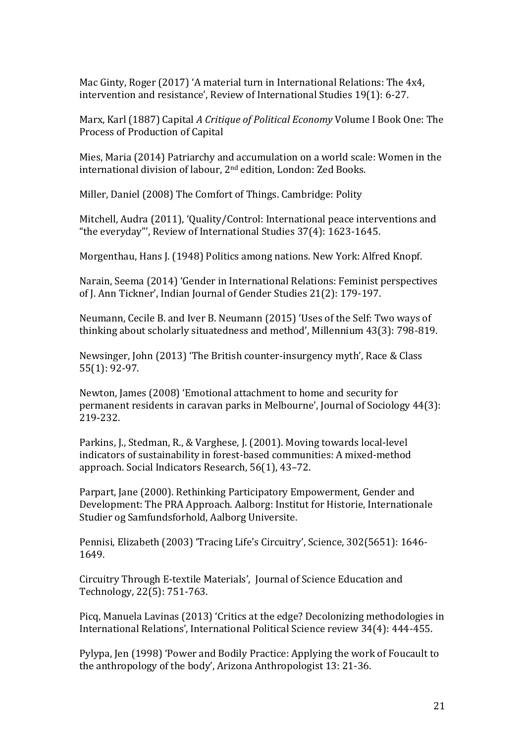Mac Ginty, Roger (2017) 'A material turn in International Relations: The 4x4, intervention and resistance', Review of International Studies 19(1): 6-27.

Marx, Karl (1887) Capital *A Critique of Political Economy* Volume I Book One: The Process of Production of Capital

Mies, Maria (2014) Patriarchy and accumulation on a world scale: Women in the international division of labour, 2nd edition, London: Zed Books.

Miller, Daniel (2008) The Comfort of Things. Cambridge: Polity

Mitchell, Audra (2011), 'Quality/Control: International peace interventions and "the everyday"', Review of International Studies 37(4): 1623-1645.

Morgenthau, Hans J. (1948) Politics among nations. New York: Alfred Knopf.

Narain, Seema (2014) 'Gender in International Relations: Feminist perspectives of J. Ann Tickner', Indian Journal of Gender Studies 21(2): 179-197.

Neumann, Cecile B. and Iver B. Neumann (2015) 'Uses of the Self: Two ways of thinking about scholarly situatedness and method', Millennium 43(3): 798-819.

Newsinger, John (2013) 'The British counter-insurgency myth', Race & Class 55(1): 92-97.

Newton, James (2008) 'Emotional attachment to home and security for permanent residents in caravan parks in Melbourne', Journal of Sociology 44(3): 219-232.

Parkins, J., Stedman, R., & Varghese, J. (2001). Moving towards local-level indicators of sustainability in forest-based communities: A mixed-method approach. Social Indicators Research, 56(1), 43–72.

Parpart, Jane (2000). Rethinking Participatory Empowerment, Gender and Development: The PRA Approach. Aalborg: Institut for Historie, Internationale Studier og Samfundsforhold, Aalborg Universite.

Pennisi, Elizabeth (2003) 'Tracing Life's Circuitry', Science, 302(5651): 1646- 1649.

Circuitry Through E-textile Materials', Journal of Science Education and Technology, 22(5): 751-763.

Picq, Manuela Lavinas (2013) 'Critics at the edge? Decolonizing methodologies in International Relations', International Political Science review 34(4): 444-455.

Pylypa, Jen (1998) 'Power and Bodily Practice: Applying the work of Foucault to the anthropology of the body', Arizona Anthropologist 13: 21-36.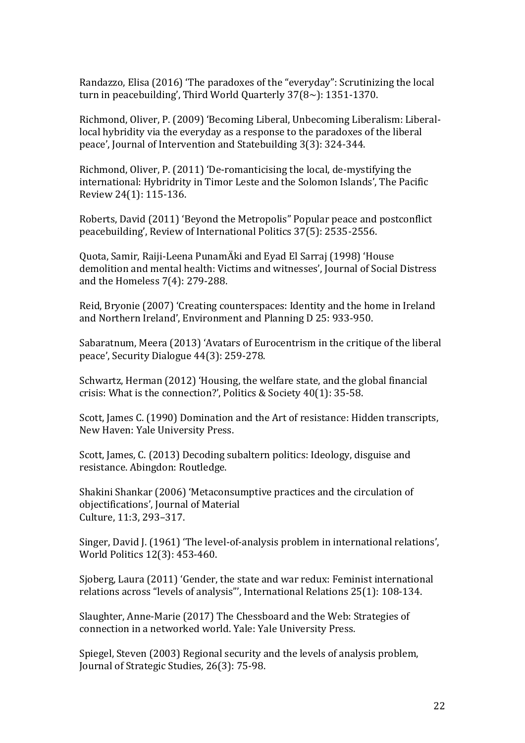Randazzo, Elisa (2016) 'The paradoxes of the "everyday": Scrutinizing the local turn in peacebuilding', Third World Quarterly 37(8~): 1351-1370.

Richmond, Oliver, P. (2009) 'Becoming Liberal, Unbecoming Liberalism: Liberallocal hybridity via the everyday as a response to the paradoxes of the liberal peace', Journal of Intervention and Statebuilding 3(3): 324-344.

Richmond, Oliver, P. (2011) 'De-romanticising the local, de-mystifying the international: Hybridrity in Timor Leste and the Solomon Islands', The Pacific Review 24(1): 115-136.

Roberts, David (2011) 'Beyond the Metropolis" Popular peace and postconflict peacebuilding', Review of International Politics 37(5): 2535-2556.

Quota, Samir, Raiji-Leena PunamÄki and Eyad El Sarraj (1998) 'House demolition and mental health: Victims and witnesses', Journal of Social Distress and the Homeless 7(4): 279-288.

Reid, Bryonie (2007) 'Creating counterspaces: Identity and the home in Ireland and Northern Ireland', Environment and Planning D 25: 933-950.

Sabaratnum, Meera (2013) 'Avatars of Eurocentrism in the critique of the liberal peace', Security Dialogue 44(3): 259-278.

Schwartz, Herman (2012) 'Housing, the welfare state, and the global financial crisis: What is the connection?', Politics & Society 40(1): 35-58.

Scott, James C. (1990) Domination and the Art of resistance: Hidden transcripts, New Haven: Yale University Press.

Scott, James, C. (2013) Decoding subaltern politics: Ideology, disguise and resistance. Abingdon: Routledge.

Shakini Shankar (2006) 'Metaconsumptive practices and the circulation of objectifications', Journal of Material Culture, 11:3, 293–317.

Singer, David J. (1961) 'The level-of-analysis problem in international relations', World Politics 12(3): 453-460.

Sjoberg, Laura (2011) 'Gender, the state and war redux: Feminist international relations across "levels of analysis"', International Relations 25(1): 108-134.

Slaughter, Anne-Marie (2017) The Chessboard and the Web: Strategies of connection in a networked world. Yale: Yale University Press.

Spiegel, Steven (2003) Regional security and the levels of analysis problem, Journal of Strategic Studies, 26(3): 75-98.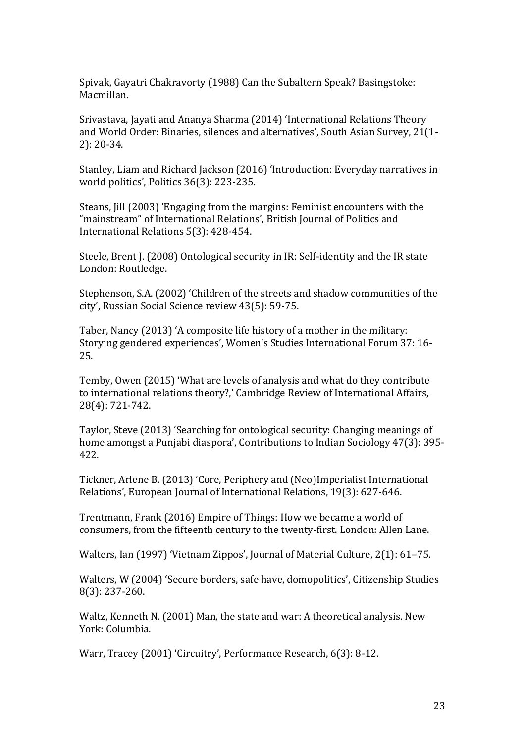Spivak, Gayatri Chakravorty (1988) Can the Subaltern Speak? Basingstoke: Macmillan.

Srivastava, Jayati and Ananya Sharma (2014) 'International Relations Theory and World Order: Binaries, silences and alternatives', South Asian Survey, 21(1- 2): 20-34.

Stanley, Liam and Richard Jackson (2016) 'Introduction: Everyday narratives in world politics', Politics 36(3): 223-235.

Steans, Jill (2003) 'Engaging from the margins: Feminist encounters with the "mainstream" of International Relations', British Journal of Politics and International Relations 5(3): 428-454.

Steele, Brent J. (2008) Ontological security in IR: Self-identity and the IR state London: Routledge.

Stephenson, S.A. (2002) 'Children of the streets and shadow communities of the city', Russian Social Science review 43(5): 59-75.

Taber, Nancy (2013) 'A composite life history of a mother in the military: Storying gendered experiences', Women's Studies International Forum 37: 16- 25.

Temby, Owen (2015) 'What are levels of analysis and what do they contribute to international relations theory?,' Cambridge Review of International Affairs, 28(4): 721-742.

Taylor, Steve (2013) 'Searching for ontological security: Changing meanings of home amongst a Punjabi diaspora', Contributions to Indian Sociology 47(3): 395- 422.

Tickner, Arlene B. (2013) 'Core, Periphery and (Neo)Imperialist International Relations', European Journal of International Relations, 19(3): 627-646.

Trentmann, Frank (2016) Empire of Things: How we became a world of consumers, from the fifteenth century to the twenty-first. London: Allen Lane.

Walters, Ian (1997) 'Vietnam Zippos', Journal of Material Culture, 2(1): 61–75.

Walters, W (2004) 'Secure borders, safe have, domopolitics', Citizenship Studies 8(3): 237-260.

Waltz, Kenneth N. (2001) Man, the state and war: A theoretical analysis. New York: Columbia.

Warr, Tracey (2001) 'Circuitry', Performance Research, 6(3): 8-12.